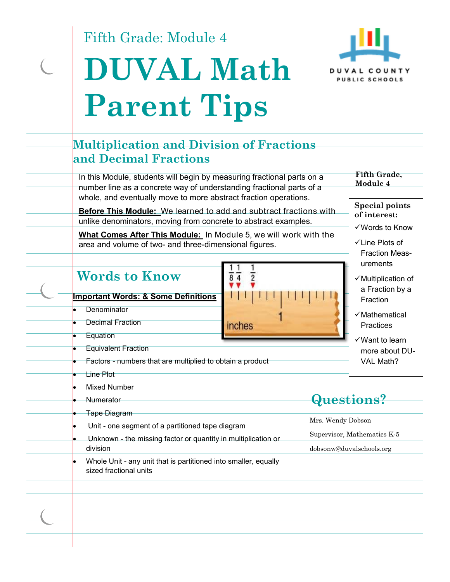Fifth Grade: Module 4

 $\overline{C}$ 





| In this Module, students will begin by measuring fractional parts on a<br>Module 4<br>number line as a concrete way of understanding fractional parts of a<br>whole, and eventually move to more abstract fraction operations.<br>Before This Module: We learned to add and subtract fractions with<br>of interest:<br>unlike denominators, moving from concrete to abstract examples.<br>What Comes After This Module: In Module 5, we will work with the<br>√Line Plots of<br>area and volume of two- and three-dimensional figures.<br>urements<br><b>Words to Know</b><br>$\overline{2}$<br>$8\overline{4}$<br><b>Important Words: &amp; Some Definitions</b><br>Fraction<br>Denominator<br>√Mathematical<br><b>Decimal Fraction</b><br>inches<br>Practices<br>Equation<br>$\checkmark$ Want to learn<br><b>Equivalent Fraction</b><br>VAL Math?<br>Factors - numbers that are multiplied to obtain a product<br><b>Line Plot</b><br><b>Mixed Number</b><br>Questions?<br>Numerator<br><b>Tape Diagram</b><br>Mrs. Wendy Dobson<br>Unit - one segment of a partitioned tape diagram<br>Supervisor, Mathematics K-5<br>Unknown - the missing factor or quantity in multiplication or<br>division<br>dobsonw@duvalschools.org<br>Whole Unit - any unit that is partitioned into smaller, equally<br>sized fractional units | and Decimal Fractions |                                                                                                                                         |  |
|------------------------------------------------------------------------------------------------------------------------------------------------------------------------------------------------------------------------------------------------------------------------------------------------------------------------------------------------------------------------------------------------------------------------------------------------------------------------------------------------------------------------------------------------------------------------------------------------------------------------------------------------------------------------------------------------------------------------------------------------------------------------------------------------------------------------------------------------------------------------------------------------------------------------------------------------------------------------------------------------------------------------------------------------------------------------------------------------------------------------------------------------------------------------------------------------------------------------------------------------------------------------------------------------------------------------------|-----------------------|-----------------------------------------------------------------------------------------------------------------------------------------|--|
|                                                                                                                                                                                                                                                                                                                                                                                                                                                                                                                                                                                                                                                                                                                                                                                                                                                                                                                                                                                                                                                                                                                                                                                                                                                                                                                              |                       | Fifth Grade,                                                                                                                            |  |
|                                                                                                                                                                                                                                                                                                                                                                                                                                                                                                                                                                                                                                                                                                                                                                                                                                                                                                                                                                                                                                                                                                                                                                                                                                                                                                                              |                       | <b>Special points</b><br>√Words to Know<br><b>Fraction Meas-</b><br>$\checkmark$ Multiplication of<br>a Fraction by a<br>more about DU- |  |
|                                                                                                                                                                                                                                                                                                                                                                                                                                                                                                                                                                                                                                                                                                                                                                                                                                                                                                                                                                                                                                                                                                                                                                                                                                                                                                                              |                       |                                                                                                                                         |  |
|                                                                                                                                                                                                                                                                                                                                                                                                                                                                                                                                                                                                                                                                                                                                                                                                                                                                                                                                                                                                                                                                                                                                                                                                                                                                                                                              |                       |                                                                                                                                         |  |
|                                                                                                                                                                                                                                                                                                                                                                                                                                                                                                                                                                                                                                                                                                                                                                                                                                                                                                                                                                                                                                                                                                                                                                                                                                                                                                                              |                       |                                                                                                                                         |  |
|                                                                                                                                                                                                                                                                                                                                                                                                                                                                                                                                                                                                                                                                                                                                                                                                                                                                                                                                                                                                                                                                                                                                                                                                                                                                                                                              |                       |                                                                                                                                         |  |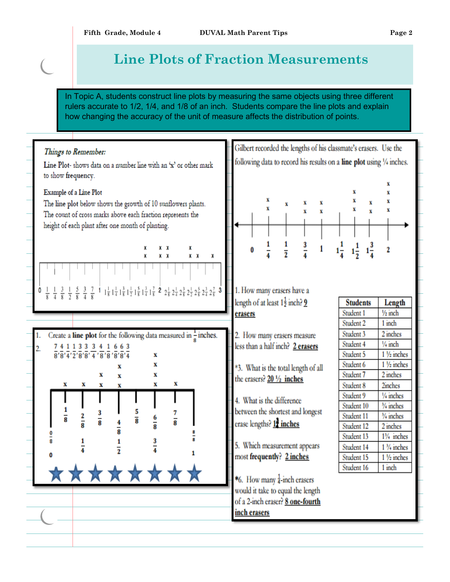## **Line Plots of Fraction Measurements**

In Topic A, students construct line plots by measuring the same objects using three different rulers accurate to 1/2, 1/4, and 1/8 of an inch. Students compare the line plots and explain how changing the accuracy of the unit of measure affects the distribution of points.

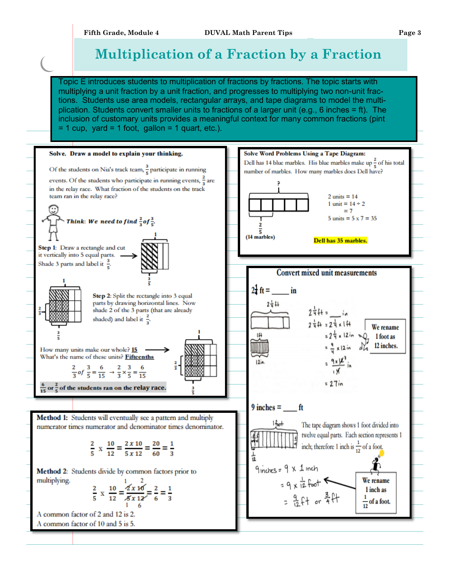## **Multiplication of a Fraction by a Fraction**

Topic E introduces students to multiplication of fractions by fractions. The topic starts with multiplying a unit fraction by a unit fraction, and progresses to multiplying two non-unit fractions. Students use area models, rectangular arrays, and tape diagrams to model the multiplication. Students convert smaller units to fractions of a larger unit (e.g., 6 inches = ft). The inclusion of customary units provides a meaningful context for many common fractions (pint  $= 1$  cup, yard  $= 1$  foot, gallon  $= 1$  quart, etc.).